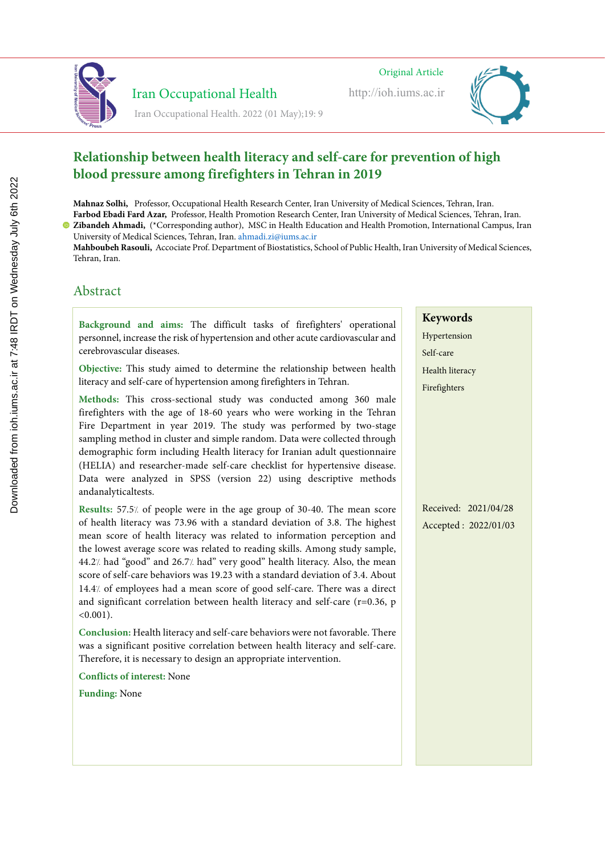Original Article Original Article Original Article

http://ioh.iums.ac.ir



#### **Relationship between health literacy and self-care for prevention of high blood pressure among firefighters in Tehran in 2019 Lighting and color temperature assessment in the office workplaces and relationship between health Lighting and color temperature assessment in the office workplaces and**  *<u>relationship between fically</u>*

Mahnaz Solhi, Professor, Occupational Health Research Center, Iran University of Medical Sciences, Tehran, Iran. Farbod Ebadi Fard Azar, Professor, Health Promotion Research Center, Iran University of Medical Sciences, Tehran, Iran. **Zibandeh Ahmadi,** (\*Corresponding author), MSC in Health Education and Health Promotion, International Campus, Iran noon nomme<br>bandah, Ahm

University of Medical Sciences, Tehran, Iran. ahmadi.zi@iums.ac.ir *Manuel Alineary* Coortsponding addition, *Processing Education and Freatury following, International Campu* Manuel Trimaali, Corresponding admorp, *Professor, Department of Treatment of Treatment of Health, Health, Health*, Health, Health, Health, Health, Health, Health, Health, Health, Health, Health, Health, Health, Health, He

Mahboubeh Rasouli, Accociate Prof. Department of Biostatistics, School of Public Health, Iran University of Medical Sciences, Tehran, Iran.

## Abstract Abstract Abstract

Background and aims: The difficult tasks of firefighters' operational personnel, increase the risk of hypertension and other acute cardiovascular and environment and should provide a luminous environment that is human-friendly provide a luminous environment that is human-friendly provide a luminous environment that is human-friendly provide a luminous environment of the and appropriate for the visual task performed. Optimal the visual of the most of the most of the most of the most of the most of the most of the most of the most of the most of the most of the most of the most of the most and appropriate for the visual task performed. Optimal the visual task performed. One of the most of the most o

Iran Occupational Health

Iran Occupational Health. 2022 (01 May);19:9

Objective: This study aimed to determine the relationship between health  $\frac{1}{2}$  iteracy and self-care of hypertension among firefighters in Tehran  $v_{\text{max}}$  and the two density production without light. Definition in the imagine literacy and self-care of hypertension among firefighters in Tehran.  $\mathcal{L}$  and  $\mathcal{L}$  is in the imagine on Earth cannot be imagined with  $\mathcal{L}$  in the imagine of  $\mathcal{L}$ 

Methods: This cross-sectional study was conducted among 360 male firefighters with the age of 18-60 years who were working in the Tehran Fire Department in year 2019. The study was performed by two-stage  $\frac{1}{2}$  and  $\frac{1}{2}$  and  $\frac{1}{2}$  and  $\frac{1}{2}$  and  $\frac{1}{2}$  and  $\frac{1}{2}$  and  $\frac{1}{2}$  and  $\frac{1}{2}$  and  $\frac{1}{2}$  and  $\frac{1}{2}$  and  $\frac{1}{2}$  and  $\frac{1}{2}$  and  $\frac{1}{2}$  and  $\frac{1}{2}$  and  $\frac{1}{2}$  and  $\frac{1}{2}$  a ampling inculou in cluster and simple random. Data were conceted unough demographic form including Health literacy for Iranian adult questionnaire (HELIA) and researcher-made self-care checklist for hypertensive disease. Data were analyzed in SPSS (version 22) using descriptive methods and analyticaltests.  $S$  is different correlations. Methods: This cross-sectional study was conducted among 360 male  $\mathbf{m}$  is the distribution and enhance the state that  $\mathbf{m}$  is the state  $\mathbf{m}$  is an opened of lighting of lighting  $\mathbf{m}$ sampling method in cluster and simple random. Data were collected through Studies have provided by different contract provided by different contract provided by different lighting are i

Results: 57.5/ of people were in the age group of 30-40. The mean score of health literacy was 73.96 with a standard deviation of 3.8. The highest  $\frac{1}{\sqrt{2}}$  composed as a person is defined as  $\frac{1}{\sqrt{2}}$ light score of health hieracy was related to mormanon perception and ne lowest average score was related to reading skills. Among study sample, 44.27. had "good" and 26.77. had" very good" health literacy. Also, the mean score of self-care behaviors was 19.23 with a standard deviation of 3.4. About 14.4% of employees had a mean score of good self-care. There was a direct  $\frac{1}{2}$  conditions in order that  $\frac{1}{2}$  is used the risk of visual and extension of visual and extension of visual and extension of visual and extension of visual and extension of visual and extension of visual and e  $\lim$  significant correlation between nearth ineracy and sen-care (r=0.56,  $\beta$ )  $\alpha$  temperature and its relationship with visual components in administrative station  $\alpha$ mean score of health literacy was related to information perception and  $\frac{1}{2}$  in industrial environment more frequently was related to information perception and public states  $\frac{1}{2}$ the lowest average score was related to reading skills. Among study sample, conditions in order that is one of visual and environments in the risk of visual and ergonomic visual and ergo and significant correlation between health literacy and self-care (r=0.36, p)  $\langle 0.001 \rangle$ .  $< 0.001$ ).

Conclusion: Health literacy and self-care behaviors were not favorable. There *Methods:* The cross-section  $\frac{1}{2}$  and strict conductions were not involuted. There vas a significant positive correlation between health literacy and self-care. Therefore, it is necessary to design an appropriate intervention.  $\frac{M}{\sqrt{N}}$  . The conductional study was conducted in 50 rooms and among 70 rooms and among 70 rooms and among 70 rooms and among 70 rooms and among 70 rooms and among 70 rooms and 30 rooms and 30 rooms 70 rooms and 30 ro was a significant positive correlation between health literacy and self-care.

 $\Gamma$  on flicts of intersect. None level of the individual eye level was measured at the user's point of view and the Conflicts of interest None **Conflicts of interest:** None

**Funding:** None the user in the presence of semiconductors or other factors. Also intensity of the

# **Keywords Keywords Keywords**

Hypertension

Self-care Health literacy

Firefighters

Received: 2021/04/28 Accepted : 2022/01/03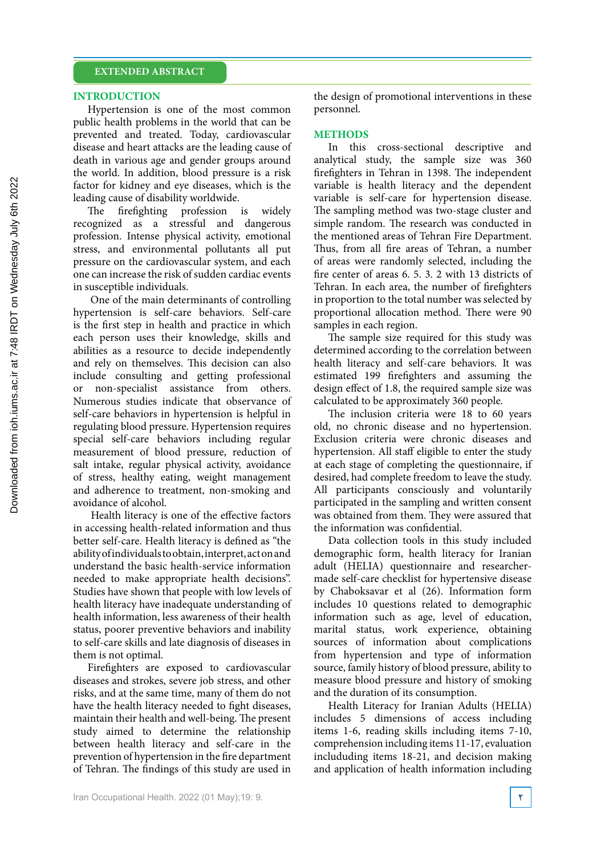### **INTRODUCTION**

Hypertension is one of the most common public health problems in the world that can be prevented and treated. Today, cardiovascular disease and heart attacks are the leading cause of death in various age and gender groups around the world. In addition, blood pressure is a risk factor for kidney and eye diseases, which is the leading cause of disability worldwide.

The firefighting profession is widely recognized as a stressful and dangerous profession. Intense physical activity, emotional stress, and environmental pollutants all put pressure on the cardiovascular system, and each one can increase the risk of sudden cardiac events in susceptible individuals.

 One of the main determinants of controlling hypertension is self-care behaviors. Self-care is the first step in health and practice in which each person uses their knowledge, skills and abilities as a resource to decide independently and rely on themselves. This decision can also include consulting and getting professional or non-specialist assistance from others. Numerous studies indicate that observance of self-care behaviors in hypertension is helpful in regulating blood pressure. Hypertension requires special self-care behaviors including regular measurement of blood pressure, reduction of salt intake, regular physical activity, avoidance of stress, healthy eating, weight management and adherence to treatment, non-smoking and avoidance of alcohol.

 Health literacy is one of the effective factors in accessing health-related information and thus better self-care. Health literacy is defined as "the ability of individuals to obtain, interpret, act on and understand the basic health-service information needed to make appropriate health decisions". Studies have shown that people with low levels of health literacy have inadequate understanding of health information, less awareness of their health status, poorer preventive behaviors and inability to self-care skills and late diagnosis of diseases in them is not optimal.

Firefighters are exposed to cardiovascular diseases and strokes, severe job stress, and other risks, and at the same time, many of them do not have the health literacy needed to fight diseases, maintain their health and well-being. The present study aimed to determine the relationship between health literacy and self-care in the prevention of hypertension in the fire department of Tehran. The findings of this study are used in

the design of promotional interventions in these personnel.

## **METHODS**

In this cross-sectional descriptive and analytical study, the sample size was 360 firefighters in Tehran in 1398. The independent variable is health literacy and the dependent variable is self-care for hypertension disease. The sampling method was two-stage cluster and simple random. The research was conducted in the mentioned areas of Tehran Fire Department. Thus, from all fire areas of Tehran, a number of areas were randomly selected, including the fire center of areas 6. 5. 3. 2 with 13 districts of Tehran. In each area, the number of firefighters in proportion to the total number was selected by proportional allocation method. There were 90 samples in each region.

The sample size required for this study was determined according to the correlation between health literacy and self-care behaviors. It was estimated 199 firefighters and assuming the design effect of 1.8, the required sample size was calculated to be approximately 360 people.

The inclusion criteria were 18 to 60 years old, no chronic disease and no hypertension. Exclusion criteria were chronic diseases and hypertension. All staff eligible to enter the study at each stage of completing the questionnaire, if desired, had complete freedom to leave the study. All participants consciously and voluntarily participated in the sampling and written consent was obtained from them. They were assured that the information was confidential.

Data collection tools in this study included demographic form, health literacy for Iranian adult (HELIA) questionnaire and researchermade self-care checklist for hypertensive disease by Chaboksavar et al (26). Information form includes 10 questions related to demographic information such as age, level of education, marital status, work experience, obtaining sources of information about complications from hypertension and type of information source, family history of blood pressure, ability to measure blood pressure and history of smoking and the duration of its consumption.

Health Literacy for Iranian Adults (HELIA) includes 5 dimensions of access including items 1-6, reading skills including items 7-10, comprehension including items 11-17, evaluation includuding items 18-21, and decision making and application of health information including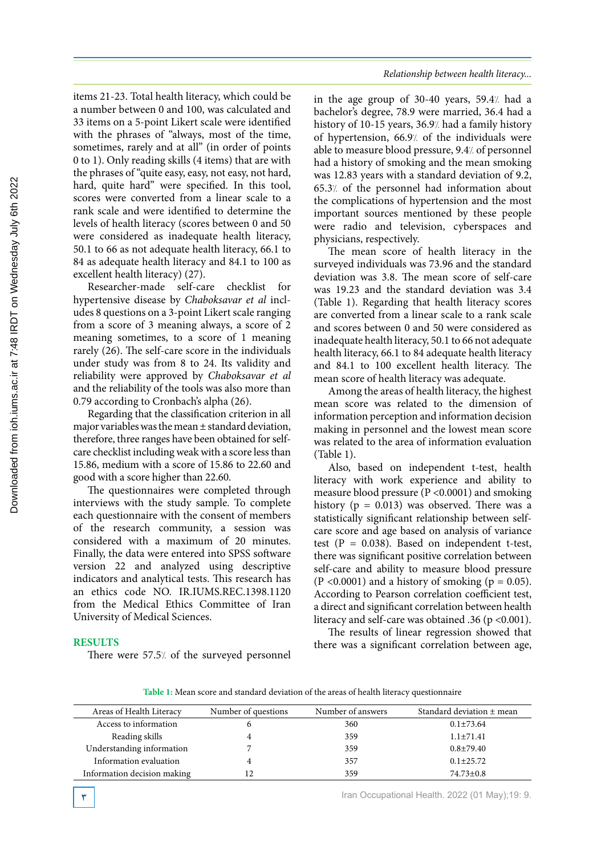items 21-23. Total health literacy, which could be a number between 0 and 100, was calculated and 33 items on a 5-point Likert scale were identified with the phrases of "always, most of the time, sometimes, rarely and at all" (in order of points 0 to 1). Only reading skills (4 items) that are with the phrases of "quite easy, easy, not easy, not hard, hard, quite hard" were specified. In this tool, scores were converted from a linear scale to a rank scale and were identified to determine the levels of health literacy (scores between 0 and 50 were considered as inadequate health literacy, 50.1 to 66 as not adequate health literacy, 66.1 to 84 as adequate health literacy and 84.1 to 100 as excellent health literacy) (27).

Researcher-made self-care checklist for hypertensive disease by *Chaboksavar et al* includes 8 questions on a 3-point Likert scale ranging from a score of 3 meaning always, a score of 2 meaning sometimes, to a score of 1 meaning rarely (26). The self-care score in the individuals under study was from 8 to 24. Its validity and reliability were approved by *Chaboksavar et al*  and the reliability of the tools was also more than 0.79 according to Cronbach's alpha (26).

Regarding that the classification criterion in all major variables was the mean ± standard deviation, therefore, three ranges have been obtained for selfcare checklist including weak with a score less than 15.86, medium with a score of 15.86 to 22.60 and good with a score higher than 22.60.

The questionnaires were completed through interviews with the study sample. To complete each questionnaire with the consent of members of the research community, a session was considered with a maximum of 20 minutes. Finally, the data were entered into SPSS software version 22 and analyzed using descriptive indicators and analytical tests. This research has an ethics code NO. IR.IUMS.REC.1398.1120 from the Medical Ethics Committee of Iran University of Medical Sciences.

## *Relationship between health literacy...*

in the age group of  $30-40$  years,  $59.4$ . had a bachelor's degree, 78.9 were married, 36.4 had a history of 10-15 years, 36.9% had a family history of hypertension, 66.9% of the individuals were able to measure blood pressure, 9.4/ of personnel had a history of smoking and the mean smoking was 12.83 years with a standard deviation of 9.2, 65.3% of the personnel had information about the complications of hypertension and the most important sources mentioned by these people were radio and television, cyberspaces and physicians, respectively.

The mean score of health literacy in the surveyed individuals was 73.96 and the standard deviation was 3.8. The mean score of self-care was 19.23 and the standard deviation was 3.4 (Table 1). Regarding that health literacy scores are converted from a linear scale to a rank scale and scores between 0 and 50 were considered as inadequate health literacy, 50.1 to 66 not adequate health literacy, 66.1 to 84 adequate health literacy and 84.1 to 100 excellent health literacy. The mean score of health literacy was adequate.

Among the areas of health literacy, the highest mean score was related to the dimension of information perception and information decision making in personnel and the lowest mean score was related to the area of information evaluation (Table 1).

Also, based on independent t-test, health literacy with work experience and ability to measure blood pressure (P <0.0001) and smoking history ( $p = 0.013$ ) was observed. There was a statistically significant relationship between selfcare score and age based on analysis of variance test  $(P = 0.038)$ . Based on independent t-test, there was significant positive correlation between self-care and ability to measure blood pressure  $(P < 0.0001)$  and a history of smoking  $(p = 0.05)$ . According to Pearson correlation coefficient test, a direct and significant correlation between health literacy and self-care was obtained .36 (p <0.001).

The results of linear regression showed that there was a significant correlation between age,

## **RESULTS**

There were 57.5% of the surveyed personnel

Table 1: Mean score and standard deviation of the areas of health literacy questionnaire **Table 1:** Mean score and standard deviation of the areas of health literacy questionnaire

| Areas of Health Literacy    | Number of questions | Number of answers | Standard deviation $\pm$ mean |
|-----------------------------|---------------------|-------------------|-------------------------------|
| Access to information       | O                   | 360               | $0.1 \pm 73.64$               |
| Reading skills              |                     | 359               | $1.1 \pm 71.41$               |
| Understanding information   |                     | 359               | $0.8 + 79.40$                 |
| Information evaluation      | 4                   | 357               | $0.1 \pm 25.72$               |
| Information decision making | 12                  | 359               | $74.73 \pm 0.8$               |

**3** Iran Occupational Health. 2022 (01 May);19: 9.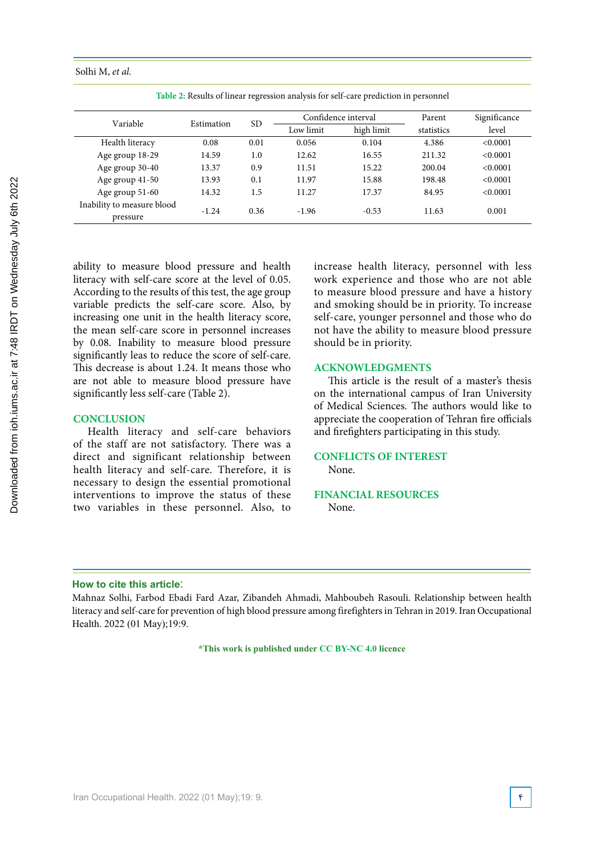Table 2: Results of linear regression analysis for self-care prediction in personnel **Table 2:** Results of linear regression analysis for self-care prediction in personnel

| Variable                               | Estimation | <b>SD</b> | Confidence interval |            | Parent     | Significance |
|----------------------------------------|------------|-----------|---------------------|------------|------------|--------------|
|                                        |            |           | Low limit           | high limit | statistics | level        |
| Health literacy                        | 0.08       | 0.01      | 0.056               | 0.104      | 4.386      | < 0.0001     |
| Age group 18-29                        | 14.59      | 1.0       | 12.62               | 16.55      | 211.32     | <0.0001      |
| Age group 30-40                        | 13.37      | 0.9       | 11.51               | 15.22      | 200.04     | <0.0001      |
| Age group 41-50                        | 13.93      | 0.1       | 11.97               | 15.88      | 198.48     | < 0.0001     |
| Age group 51-60                        | 14.32      | 1.5       | 11.27               | 17.37      | 84.95      | < 0.0001     |
| Inability to measure blood<br>pressure | $-1.24$    | 0.36      | $-1.96$             | $-0.53$    | 11.63      | 0.001        |

ability to measure blood pressure and health literacy with self-care score at the level of 0.05. According to the results of this test, the age group variable predicts the self-care score. Also, by increasing one unit in the health literacy score, the mean self-care score in personnel increases by 0.08. Inability to measure blood pressure significantly leas to reduce the score of self-care. This decrease is about 1.24. It means those who are not able to measure blood pressure have significantly less self-care (Table 2).

## **CONCLUSION**

Health literacy and self-care behaviors of the staff are not satisfactory. There was a direct and significant relationship between health literacy and self-care. Therefore, it is necessary to design the essential promotional interventions to improve the status of these two variables in these personnel. Also, to

increase health literacy, personnel with less work experience and those who are not able to measure blood pressure and have a history and smoking should be in priority. To increase self-care, younger personnel and those who do not have the ability to measure blood pressure should be in priority.

## **ACKNOWLEDGMENTS**

This article is the result of a master's thesis on the international campus of Iran University of Medical Sciences. The authors would like to appreciate the cooperation of Tehran fire officials and firefighters participating in this study.

## **CONFLICTS OF INTEREST** None.

### **FINANCIAL RESOURCES** None.

## **How to cite this article**:

Mahnaz Solhi, Farbod Ebadi Fard Azar, Zibandeh Ahmadi, Mahboubeh Rasouli. Relationship between health literacy and self-care for prevention of high blood pressure among firefighters in Tehran in 2019. Iran Occupational Health. 2022 (01 May);19:9.

**\*This work is published under CC BY-NC 4.0 licence**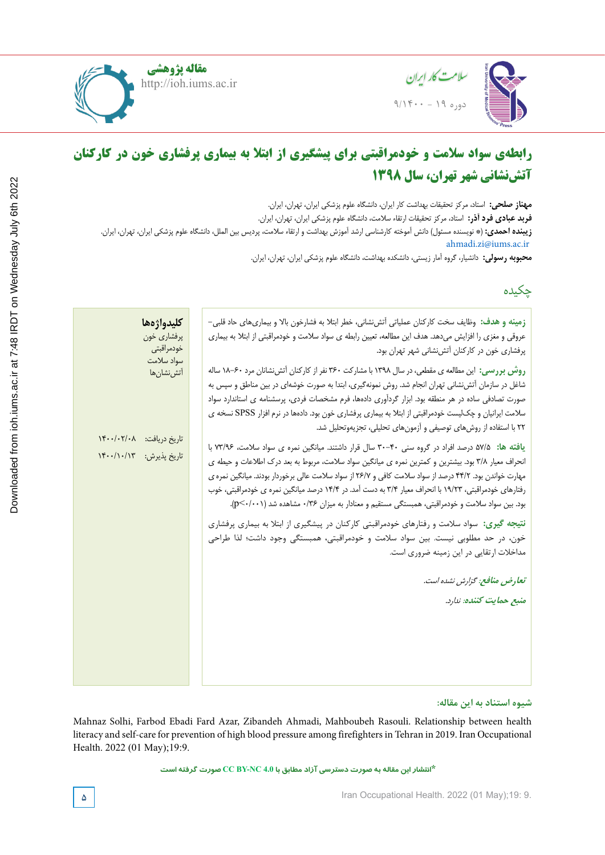



### **Lighting and color temperature assessment in the office workplaces and relationship to visual fatigue Lighting and color temperature assessment in the office workplaces and رابطهی سواد سالمت و خودمراقبتی برای پیشگیری از ابتال به بیماری پرفشاری خون در کارکنان آتشنشانی شهر تهران، سال 1398**

 $\mathbb{R}$  Health Sciences Research, Hamedan University of Medical Sciences, Hamedan, Iran. goldon $\mathbb{R}$ .iran. goldon **Zahra Pirmoradi,** MSc, Department of Occupational Hygiene, School of Health, Hamadan University of Medical Sciences, Hamadan, Iran **فربد عبادی فرد آذر:** استاد، مرکز تحقیقات ارتقاء سالمت، دانشگاه علوم پزشکی ایران، تهران، ایران. **Majid Motamedzadeh Torghabeh,** Professor, Department of Ergonomics, School of Health, Hamadan University of ahmadi.zi@iums.ac.ir **مهناز صلحی:** استاد، مرکز تحقیقات بهداشت کار ایران، دانشگاه علوم پزشکی ایران، تهران، ایران. **زیبنده احمدی:** )\* نویسنده مسئول( دانش آموخته کارشناسی ارشد آموزش بهداشت و ارتقاء سالمت، پردیس بین الملل، دانشگاه علوم پزشکی ایران، تهران، ایران.

**Javad Fardmal, Associate Professor, Associate Professor, School of Biology** Medical Sciences, Hamadan, Iran **محبوبه رسولی:** دانشیار، گروه آمار زیستی، دانشکده بهداشت، دانشگاه علوم پزشکی ایران، تهران، ایران.

## چکیده

| زمینه و هدف: وظایف سخت کارکنان عملیاتی آتشنشانی، خطر ابتلا به فشارخون بالا و بیماریهای حاد قلبی–        | كليدواژهها                |  |
|---------------------------------------------------------------------------------------------------------|---------------------------|--|
| عروقی و مغزی را افزایش میدهد. هدف این مطالعه، تعیین رابطه ی سواد سلامت و خودمراقبتی از ابتلا به بیماری  | پرفشاري خون               |  |
| پرفشاری خون در کارکنان آتشنشانی شهر تهران بود.                                                          | خودمراقبتي                |  |
| روش بررسی: این مطالعه ی مقطعی، در سال ۱۳۹۸ با مشارکت ۳۶۰ نفر از کارکنان آتشنشانان مرد ۶۰-۱۸ ساله        | سواد سلامت<br>آتش،نشان ها |  |
| شاغل در سازمان اّتشiنشانی تهران انجام شد. روش نمونهگیری، ابتدا به صورت خوشهای در بین مناطق و سپس به     |                           |  |
| صورت تصادفی ساده در هر منطقه بود. ابزار گردآوری دادهها، فرم مشخصات فردی، پرسشنامه ی استاندارد سواد      |                           |  |
| سلامت ایرانیان و چکµست خودمراقبتی از ابتلا به بیماری پرفشاری خون بود. دادهها در نرم افزار SPSS نسخه ی   |                           |  |
| ٢٢ با استفاده از روشهای توصیفی و آزمونهای تحلیلی، تجزیهوتحلیل شد.                                       |                           |  |
|                                                                                                         | تاريخ دريافت: ١۴٠٠/٠٢/٠٨  |  |
| یافته ها: ۵۷/۵ درصد افراد در گروه سنی ۴۰-۳۰ سال قرار داشتند. میانگین نمره ی سواد سلامت، ۷۳/۹۶ با        | تاريخ پذيرش: ١۴٠٠/١٠/١٣   |  |
| انحراف معیار ۳/۸ بود. بیشترین و کمترین نمره ی میانگین سواد سلامت، مربوط به بعد درک اطلاعات و حیطه ی     |                           |  |
| مهارت خواندن بود. ۴۴/۲ درصد از سواد سلامت کافی و ۲۶/۷ از سواد سلامت عالی برخوردار بودند. میانگین نمره ی |                           |  |
| رفتارهای خودمراقبتی، ۱۹/۲۳ با انحراف معیار ۳/۴ به دست آمد. در ۱۴/۴ درصد میانگین نمره ی خودمراقبتی، خوب  |                           |  |
| بود. بین سواد سلامت و خودمراقبتی، همبستگی مستقیم و معنادار به میزان ۰/۳۶ مشاهده شد (p<۰/۰۰۱).           |                           |  |
| نتیجه گیری: سواد سلامت و رفتارهای خودمراقبتی کارکنان در پیشگیری از ابتلا به بیماری پرفشاری              |                           |  |
| خون، در حد مطلوبی نیست. بین سواد سلامت و خودمراقبتی، همبستگی وجود داشت؛ لذا طراحی                       |                           |  |
| مداخلات ارتقایی در این زمینه ضروری است.                                                                 |                           |  |
|                                                                                                         |                           |  |
| تعارض منافع: گزارش نشده است.                                                                            |                           |  |
| منبع حمايت كننده: ندارد.                                                                                |                           |  |
|                                                                                                         |                           |  |
|                                                                                                         |                           |  |
|                                                                                                         |                           |  |
|                                                                                                         |                           |  |
|                                                                                                         |                           |  |
|                                                                                                         |                           |  |

## شیوه استناد به این مقاله:

Mahnaz Solhi, Farbod Ebadi Fard Azar, Zibandeh Ahmadi, Mahboubeh Rasouli. Relationship between health literacy and self-care for prevention of high blood pressure among firefighters in Tehran in 2019. Iran Occupational Health. 2022 (01 May);19:9.

**\*انتشار این مقاله به صورت دسترسی آزاد مطابق با 4.0 NC-BY CC صورت گرفته است**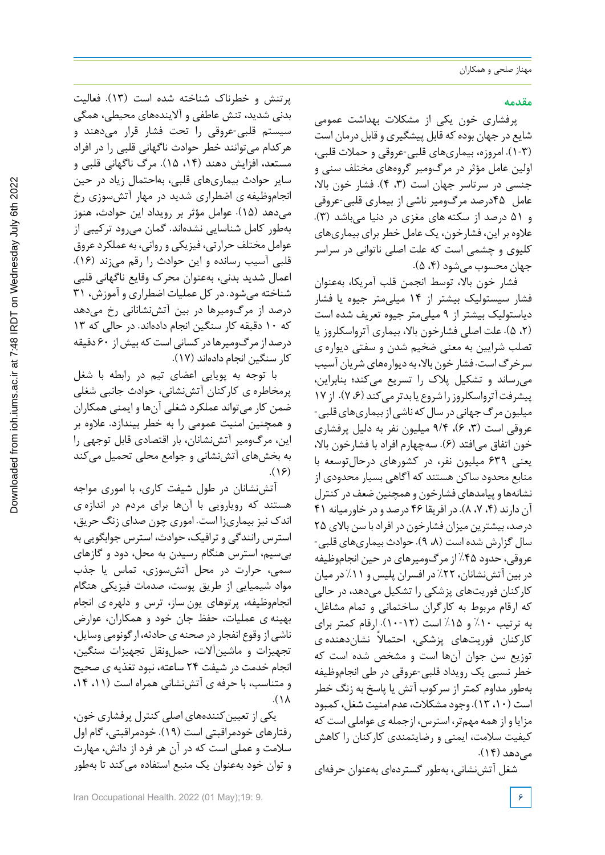## **مقدمه**

پرفشاری خون یکی از مشکالت بهداشت عمومی شایع در جهان بودهکه قابل پیشگیری و قابل درمان است (1-3). امروزه، بیماریهای قلبی-عروقی و حمالت قلبی، اولین عامل مؤثر در مرگومیر گروههای مختلف سنی و جنسی در سرتاسر جهان است (۳، ۴). فشار خون بالا، عامل 45درصد مرگومیر ناشی از بیماری قلبی-عروقی و 51 درصد از سکته های مغزی در دنیا میباشد (3). عالوه براین، فشارخون، یک عامل خطربرای بیماریهای کلیوی و چشمی است که علت اصلی ناتوانی در سراسر جهان محسوب میشود (،4 5).

فشار خون بالا، توسط انجمن قلب آمریکا، بهعنوان فشار سیستولیک بیشتر از 14 میلیمتر جیوه یا فشار دیاستولیک بیشتر از 9 میلیمتر جیوه تعریف شده است (،2 5). علت اصلی فشارخون بالا، بیماری آترواسکلروز یا تصلب شرایین به معنی ضخیم شدن و سفتی دیواره ی سرخرگاست. فشار خون بالا، به دیوارههایشریان آسیب میرساند و تشکیل پالك را تسریع میکند؛ بنابراین، پیشرفت آترواسکلروز را شروع یابدتر می کند (۶، ۷). از ۱۷ میلیون مرگ جهانی در سال که ناشی از بیماریهای قلبی-عروقی است (۳، ۶)، ۹/۴ میلیون نفر به دلیل پرفشاری خون اتفاق میافتد (6). سهچهارم افراد با فشارخون بالا، یعنی 639 میلیون نفر، در کشورهای درحالتوسعه با منابع محدود ساکن هستند که آگاهی بسیار محدودی از نشانهها و پیامدهای فشارخون و همچنین ضعف در کنترل آن دارند (،4 ،7 8). در افریقا 46 درصد ودر خاورمیانه 41 درصد، بیشترین میزان فشارخون در افرادبا سن بالای 25 سال گزارش شده است (۸، ۹). حوادث بیماریهای قلبی-عروقی، حدود %45 از مرگومیرهای در حین انجاموظیفه در بین آتشنشانان، ٢٢٪ در افسران پلیس و ١١٪ در میان کارکنان فوریتهای پزشکی را تشکیل میدهد، در حالی که ارقام مربوط به کارگران ساختمانی و تمام مشاغل، به ترتیب %10 و %15 است (10-12). ارقام کمتر برای کارکنان فوریتهای پزشکی، احتمالاً نشاندهنده ی توزیع سن جوان آنها است و مشخص شده است که خطر نسبی یک رویداد قلبی-عروقی در طی انجاموظیفه بهطور مداوم کمتر از سرکوب آتش یا پاسخ به زنگ خطر است (،10 13). وجودمشکالت،عدم امنیت شغل،کمبود مزایا و ازهمه مهمتر، استرس، ازجمله ی عواملی است که کیفیت سالمت، ایمنی و رضایتمندی کارکنان را کاهش مے دهد (۱۴).

شغل آتشنشانی، بهطور گستردهای بهعنوان حرفهای

پرتنش و خطرناك شناخته شده است (13). فعالیت بدنی شدید، تنش عاطفی و آلایندههای محیطی، همگی سیستم قلبی-عروقی را تحت فشار قرار میدهند و هرکدام میتوانند خطر حوادث ناگهانی قلبی را در افراد مستعد، افزایش دهند (،14 15). مرگ ناگهانی قلبی و سایر حوادث بیماریهای قلبی، بهاحتمال زیاد در حین انجاموظیفه ی اضطراری شدید در مهار آتشسوزی رخ میدهد (15). عوامل مؤثر بر رویداد این حوادث، هنوز بهطور کامل شناسایی نشدهاند. گمان میرود ترکیبی از عوامل مختلف حرارتی، فیزیکی و روانی، به عملکردعروق قلبی آسیب رسانده و این حوادث را رقم میزند (16). اعمال شدید بدنی، بهعنوان محرك وقایع ناگهانی قلبی شناخته میشود. در کل عملیات اضطراری و آموزش، 31 درصد از مرگومیرها در بین آتشنشانانی رخ میدهد که 10 دقیقه کار سنگین انجام دادهاند. در حالی که 13 درصد از مرگومیرها در کسانی است که بیش از ۶۰ دقیقه کار سنگین انجام دادهاند (17).

با توجه به پویایی اعضای تیم در رابطه با شغل پرمخاطره ی کارکنان آتشنشانی، حوادث جانبی شغلی ضمن کار میتواند عملکرد شغلی آنها و ایمنی همکاران و همچنین امنیت عمومی را به خطر بیندازد. عالوه بر این، مرگومیر آتشنشانان، بار اقتصادی قابل توجهی را به بخشهای آتشنشانی و جوامع محلی تحمیل میکند  $.$ (16)

آتشنشانان در طول شیفت کاری، با اموری مواجه هستند که رویارویی با آنها برای مردم در اندازه ی اندك نیز بیماریزا است. اموری چون صدای زنگ حریق، استرس رانندگی و ترافیک، حوادث، استرس جوابگویی به بیسیم، استرس هنگام رسیدن به محل، دود و گازهای سمی، حرارت در محل آتشسوزی، تماس یا جذب مواد شیمیایی از طریق پوست، صدمات فیزیکی هنگام انجاموظیفه، پرتوهای یون ساز، ترس و دلهره ی انجام بهینه ی عملیات، حفظ جان خود و همکاران، عوارض ناشی ازوقوع انفجاردر صحنه یحادثه، ارگونومی وسایل، تجهیزات و ماشینآلات، حملونقل تجهیزات سنگین، انجام خدمت در شیفت 24 ساعته، نبود تغذیه ی صحیح و متناسب، با حرفه ی آتشنشانی همراه است (،11 ،14  $\Lambda$ 

یکی از تعیینکنندههای اصلی کنترل پرفشاری خون، رفتارهای خودمراقبتی است (19). خودمراقبتی، گام اول سالمت و عملی است که در آن هر فرد از دانش، مهارت و توان خود بهعنوان یک منبع استفاده میکند تا بهطور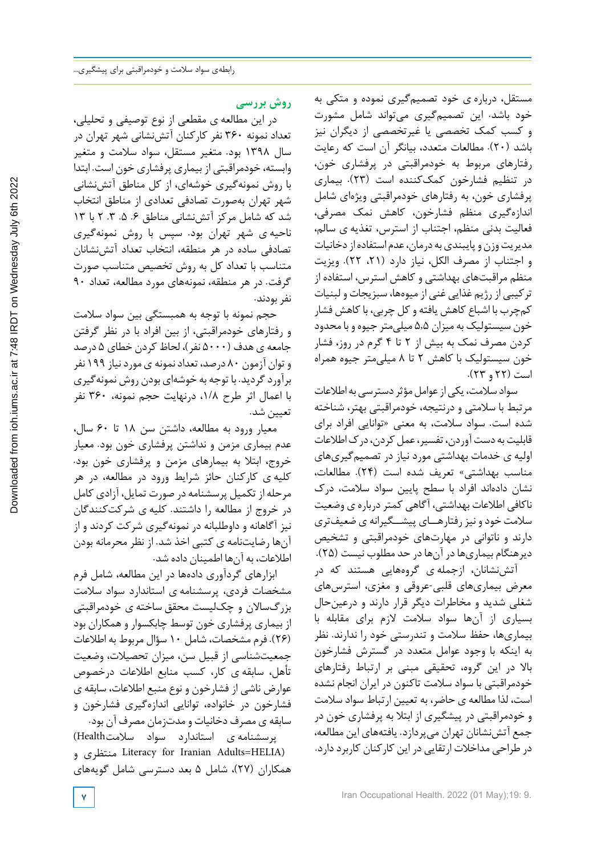مستقل، درباره ی خود تصمیمگیری نموده و متکی به خود باشد. این تصمیمگیری میتواند شامل مشورت و کسب کمک تخصصی یا غیرتخصصی از دیگران نیز باشد (20). مطالعات متعدد، بیانگر آن است که رعایت رفتارهای مربوط به خودمراقبتی در پرفشاری خون، در تنظیم فشارخون کمککننده است (23). بیماری پرفشاری خون، به رفتارهای خودمراقبتی ویژهای شامل اندازهگیری منظم فشارخون، کاهش نمک مصرفی، فعالیت بدنی منظم، اجتناب از استرس، تغذیه ی سالم، مدیریت وزن و پایبندی به درمان، عدم استفاده از دخانیات و اجتناب از مصرف الکل، نیاز دارد (،21 22). ویزیت منظم مراقبتهای بهداشتی و کاهش استرس، استفاده از ترکیبی از رژیم غذایی غنی از میوهها، سبزیجات و لبنیات کمچرب با اشباع کاهش یافته وکل چربی، باکاهش فشار خون سیستولیک به میزان 5,5 میلیمتر جیوه و با محدود کردن مصرف نمک به بیش از 2 تا 4 گرم در روز، فشار خون سیستولیک با کاهش 2 تا 8 میلیمتر جیوه همراه است (22 و 23).

سواد سلامت، یکی از عوامل مؤثر دسترسی به اطلاعات مرتبط با سالمتی و درنتیجه، خودمراقبتی بهتر، شناخته شده است. سواد سالمت، به معنی «توانایی افراد برای قابلیت به دست آوردن، تفسیر، عمل کردن، درک اطلاعات اولیه ی خدمات بهداشتی مورد نیاز در تصمیمگیریهای مناسب بهداشتی» تعریف شده است (24). مطالعات، نشان دادهاند افراد با سطح پایین سواد سالمت، درك ناکافی اطلاعات بهداشتی، آگاهی کمتر درباره ی وضعیت سالمت خودو نیزرفتارهــای پیشــگیرانه ی ضعیفتری دارند و ناتوانی در مهارتهای خودمراقبتی و تشخیص دیرهنگام بیماریهادر آنهادر حد مطلوب نیست (25).

آتشنشانان، ازجمله ی گروههایی هستند که در معرض بیماریهای قلبی-عروقی و مغزی، استرسهای شغلی شدید و مخاطرات دیگر قرار دارند و درعینحال بسیاری از آنها سواد سالمت لازم برای مقابله با بیماریها، حفظ سالمت و تندرستی خود را ندارند. نظر به اینکه با وجود عوامل متعدد در گسترش فشارخون بالا در این گروه، تحقیقی مبنی بر ارتباط رفتارهای خودمراقبتی با سواد سالمت تاکنون در ایران انجام نشده است، لذا مطالعه ی حاضر، به تعیین ارتباط سواد سالمت و خودمراقبتی در پیشگیری از ابتال به پرفشاری خون در جمع آتشنشانان تهران میپردازد. یافتههای این مطالعه، در طراحی مداخلات ارتقایی در این کارکنان کاربرد دارد.

## **روش بررسی**

در این مطالعه ی مقطعی از نوع توصیفی و تحلیلی، تعداد نمونه 360 نفر کارکنان آتشنشانی شهر تهران در سال 1398 بود. متغیر مستقل، سواد سالمت و متغیر وابسته، خودمراقبتی از بیماری پرفشاری خون است. ابتدا با روش نمونهگیری خوشهای، از کل مناطق آتشنشانی شهر تهران بهصورت تصادفی تعدادی از مناطق انتخاب شد که شامل مرکز آتشنشانی مناطق .6 .5 .3 2 با 13 ناحیه ی شهر تهران بود. سپس با روش نمونهگیری تصادفی ساده در هر منطقه، انتخاب تعداد آتشنشانان متناسب با تعداد کل به روش تخصیص متناسب صورت گرفت. در هر منطقه، نمونههای مورد مطالعه، تعداد 90 نفر بودند.

حجم نمونه با توجه به همبستگی بین سواد سالمت و رفتارهای خودمراقبتی، از بین افراد با در نظر گرفتن جامعه ی هدف (5000 نفر)، لحاظ کردن خطای 5 درصد وتوان آزمون 80 درصد، تعدادنمونه یموردنیاز 199 نفر برآوردگردید. با توجه به خوشهای بودن روش نمونهگیری با اعمال اثر طرح ،1/8 درنهایت حجم نمونه، 360 نفر تعیین شد.

معیار ورود به مطالعه، داشتن سن 18 تا 60 سال، عدم بیماری مزمن و نداشتن پرفشاری خون بود. معیار خروج، ابتال به بیمارهای مزمن و پرفشاری خون بود. کلیه ی کارکنان حائز شرایط ورود در مطالعه، در هر مرحله از تکمیل پرسشنامه در صورت تمایل، آزادی کامل در خروج از مطالعه را داشتند. کلیه ی شرکتکنندگان نیز آگاهانه و داوطلبانه در نمونهگیری شرکت کردند و از آنها رضایتنامه ی کتبی اخذ شد. از نظر محرمانه بودن اطالعات، به آنها اطمینان داده شد.

ابزارهای گردآوری دادهها در این مطالعه، شامل فرم مشخصات فردی، پرسشنامه ی استاندارد سواد سالمت بزرگسالان و چکلیست محقق ساخته ی خودمراقبتی از بیماری پرفشاری خون توسط چابکسوار وهمکاران بود (26). فرم مشخصات، شامل 10 سؤال مربوط به اطالعات جمعیتشناسی از قبیل سن، میزان تحصیالت، وضعیت تأهل، سابقه ی کار، کسب منابع اطالعات درخصوص عوارض ناشی از فشارخون و نوع منبع اطالعات، سابقه ی فشارخون در خانواده، توانایی اندازهگیری فشارخون و سابقه ی مصرف دخانیات و مدتزمان مصرف آن بود.

پرسشنامه ی استاندارد سواد سالمتHealth( و منتظری Literacy for Iranian Adults=HELIA) همکاران (27)، شامل 5 بعد دسترسی شامل گویههای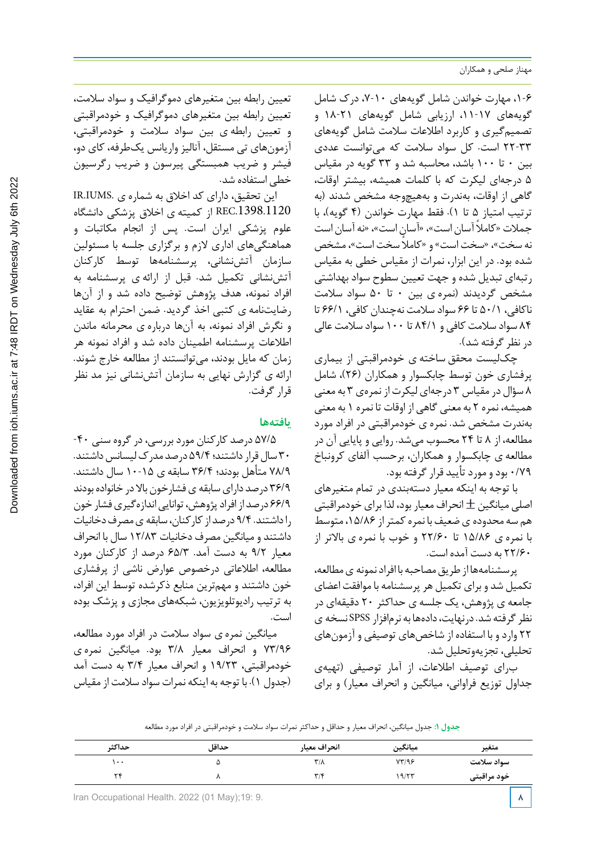،1-6 مهارت خواندن شامل گویههای ،7-10 درك شامل گویههای ۱۷-۱۱، ارزیابی شامل گویههای ۲۱-۱۸ و تصمیمگیری و کاربرد اطالعات سالمت شامل گویههای 22-33 است. کل سواد سالمت که میتوانست عددی بین 0 تا 100 باشد، محاسبه شد و 33 گویه در مقیاس 5 درجهای لیکرت که با کلمات همیشه، بیشتر اوقات، گاهی از اوقات، بهندرت و بههیچوجه مشخص شدند (به ترتیب امتیاز 5 تا 1). فقط مهارت خواندن (4 گویه)، با جمالت « ً کامال آسان است»، «آسان است»، «نه آسان است نه سخت»، «سخت است» و « ً کامال سخت است»، مشخص شده بود. در این ابزار، نمرات از مقیاس خطی به مقیاس رتبهای تبدیل شده و جهت تعیین سطوح سواد بهداشتی مشخص گردیدند (نمره ی بین 0 تا 50 سواد سالمت ناکافی، 50/1 تا 66 سواد سالمت نهچندان کافی، 66/1 تا 84 سواد سالمت کافی و 84/1 تا 100 سواد سالمت عالی در نظرگرفته شد).

چکلیست محقق ساخته ی خودمراقبتی از بیماری پرفشاری خون توسط چابکسوار و همکاران (26)، شامل 8 سؤال در مقیاس 3 درجهای لیکرتاز نمرهی 3 به معنی همیشه، نمره 2 به معنی گاهی از اوقات تا نمره 1 به معنی بهندرت مشخص شد. نمره ی خودمراقبتی در افراد مورد مطالعه، از 8 تا 24 محسوب میشد. روایی و پایایی آن در مطالعه ی چابکسوار و همکاران، برحسب آلفای کرونباخ 0/79 بودو موردتأیید قرارگرفته بود.

با توجه به اینکه معیار دستهبندی در تمام متغیرهای اصلی میانگین  $\pm$  انحراف معیار بود، لذا برای خودمراقبتی هم سه محدوده ی ضعیف با نمره کمتر از ۱۵/۸۶، متوسط با نمره ی 15/86 تا 22/60 و خوب با نمره ی بالاتر از 22/60 به دست آمده است.

پرسشنامهها از طریق مصاحبه با افراد نمونه ی مطالعه، تکمیل شد و برای تکمیل هرپرسشنامه با موافقت اعضای جامعه ی پژوهش، یک جلسه ی حداکثر 20 دقیقهای در نظرگرفته شد. درنهایت،دادهها به نرمافزار SPSS نسخه ی 22 واردو با استفاده از شاخصهای توصیفی و آزمونهای تحلیلی، تجزیهوتحلیل شد.

برای توصیف اطالعات، از آمار توصیفی (تهیهی جداول توزیع فراوانی، میانگین و انحراف معیار) و برای

تعیین رابطه بین متغیرهای دموگرافیک و سواد سالمت، تعیین رابطه بین متغیرهای دموگرافیک و خودمراقبتی و تعیین رابطه ی بین سواد سالمت و خودمراقبتی، آزمونهای تی مستقل، آنالیز واریانس یکطرفه، کای دو، فیشر و ضریب همبستگی پیرسون و ضریب رگرسیون خطی استفاده شد.

این تحقیق، دارای کد اخالق به شماره ی .IUMS.IR .1398.1120REC از کمیته ی اخالق پزشکی دانشگاه علوم پزشکی ایران است. پس از انجام مکاتبات و هماهنگیهای اداری لازم و برگزاری جلسه با مسئولین سازمان آتش،نشانی، پرسشنامهها توسط کارکنان آتشنشانی تکمیل شد. قبل از ارائه ی پرسشنامه به افراد نمونه، هدف پژوهش توضیح داده شد و از آنها رضایتنامه ی کتبی اخذ گردید. ضمن احترام به عقاید و نگرش افراد نمونه، به آنها درباره ی محرمانه ماندن اطالعات پرسشنامه اطمینان داده شد و افراد نمونه هر زمان که مایل بودند، میتوانستند از مطالعه خارج شوند. ارائه ی گزارش نهایی به سازمان آتشنشانی نیز مد نظر قرارگرفت.

## **یافتهها**

57/5 درصد کارکنان موردبررسی،درگروه سنی -40 30 سالقرارداشتند؛59/4 درصد مدركلیسانسداشتند. 78/9 متأهل بودند؛ 36/4 سابقه ی 10-15 سال داشتند. ۳۶/۹ درصد دارای سابقه ی فشارخون بالا در خانواده بودند 66/9 درصد ازافرادپژوهش، تواناییاندازهگیریفشار خون راداشتند. 9/4 درصد ازکارکنان،سابقه یمصرفدخانیات داشتند و میانگین مصرف دخانیات 12/83 سال با انحراف معیار 9/2 به دست آمد. 65/3 درصد از کارکنان مورد مطالعه، اطالعاتی درخصوص عوارض ناشی از پرفشاری خون داشتند و مهمترین منابع ذکرشده توسط این افراد، به ترتیب رادیوتلویزیون، شبکههای مجازی و پزشک بوده است.

میانگین نمره ی سواد سالمت در افراد مورد مطالعه، 73/96 و انحراف معیار 3/8 بود. میانگین نمره ی خودمراقبتی، 19/23 و انحراف معیار 3/4 به دست آمد (جدول ١). با توجه به اینکه نمرات سواد سلامت از مقیاس

|  | جدول ۱: جدول میانگین، انحراف معیار و حداقل و حداکثر نمرات سواد سلامت و خودمراقبتی در افراد مورد مطالعه |  |
|--|--------------------------------------------------------------------------------------------------------|--|
|  |                                                                                                        |  |

| حداكثر       | حداقل | انحراف معيار            | ميانگين | متغير       |
|--------------|-------|-------------------------|---------|-------------|
| ۰۰           |       | $\mathsf{r}/\mathsf{v}$ | YY/99   | سواد سلامت  |
| $\mathbf{v}$ |       | $\mathbf{r}/\mathbf{r}$ | 19/57   | خود مراقبتی |

**Iran Occupational Health. 2022 (01 May);19: 9. 88. <b>88. 8 8. 8. <b>8 8. 8**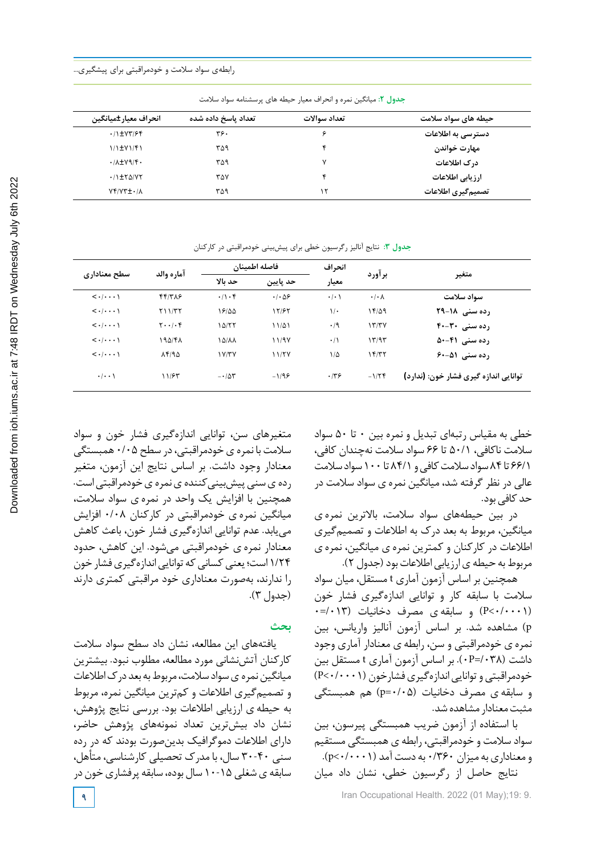| بحدون ۰۰ میتونیس شرد و ۰۰ تراب شیور اخیسه شای پرسستونه سوانو شادشت |                     |              |                     |  |  |
|--------------------------------------------------------------------|---------------------|--------------|---------------------|--|--|
| انحراف معيار±ميانگين                                               | تعداد ياسخ داده شده | تعداد سوالات | حیطه های سواد سلامت |  |  |
| $.11$ $\pm$ Y۳/۶۴                                                  | ۳۶.                 | ¢            | دسترسی به اطلاعات   |  |  |
| $1/1$ $\pm$ $V$ $1/$ $F$ $1$                                       | ۳۵۹                 |              | مهارت خواندن        |  |  |
| $\cdot$ / $\lambda$ $\pm$ Y۹/۴ $\cdot$                             | ۳۵۹                 | v            | درک اطلاعات         |  |  |
| $\cdot$ /1 $\pm$ ۲۵/۷۲                                             | ۳۵۷                 |              | ارزيابي اطلاعات     |  |  |
| <b>NYVYI.IA</b>                                                    | ۳۵۹                 | ۱۲           | تصميمگيري اطلاعات   |  |  |

**جدول -2 میانگین نمره و انحراف معیار حیطه هاي پرسشنامه سواد سلامت جدول :2** میانگین نمره و انحراف معیار حیطه های پرسشنامه سواد سالمت

**انحراف متغیر برآورد معیار حد پایین حد بالا آماره والد سطح معناداري فاصله اطمینان سواد سلامت** /08 0 /01 0 /056 0 /104 0 /386 44 /0001 0> رده سنی 1**4-19 14 /9-18 19-18 18 18-19 17/97 17/97 16 16-19 16-19 17-19 18-14 19-19** 18-19 16-19 16-19 رده سنی ۴**۰-۴۰** / ۱۳/۳۷ / ۱۳/۳۷ / ۲۰۰/۰۴ / ۲۰۰/۰۴ / ۲۰۰/۰۴ / ۲۰۰/۰۴ **رده سنی 50-41** /93 13 /1 0 /97 11 /88 15 /48 195 /0001 0> **رده سنی (۵–۶۰ – ۱۲/۳۷ - ۱۲/۲۷ - ۱۲/۳۷ - ۲۰/۰۰۰ - ۲/۰۰۰ / ۲/۰۰۰ - ۲/۰۰۰ / ۲/۹۵ توانایی اندازه گیري فشار خون: (ندارد)** /24 -1 /36 0 /96 -1 /53 -0 /63 11 /001 0

**جدول :3** نتایج آنالیز رگرسیون خطی برای پیشبینی خودمراقبتی در کارکنان

متغیرهای سن، توانایی اندازهگیری فشار خون و سواد سالمت با نمره یخودمراقبتی،در سطح 0/05 همبستگی معنادار وجود داشت. بر اساس نتایج این آزمون، متغیر رده ی سنی پیش بینی کننده ی نمره ی خودمراقبتی است. همچنین با افزایش یک واحد در نمره ی سواد سالمت، میانگین نمره ی خودمراقبتی در کارکنان 0/08 افزایش مییابد. عدم توانایی اندازهگیری فشار خون، باعث کاهش معنادار نمره ی خودمراقبتی میشود. این کاهش، حدود ۱/۲۴ است؛ یعنی کسانی که توانایی اندازهگیری فشار خون را ندارند، بهصورت معناداری خود مراقبتی کمتری دارند (جدول 3).

## **بحث**

یافتههای این مطالعه، نشان داد سطح سواد سالمت کارکنان آتشنشانی مورد مطالعه، مطلوب نبود. بیشترین میانگین نمره ی سواد سلامت، مربوط به بعد درک اطلاعات و تصمیمگیری اطالعات و کمترین میانگین نمره، مربوط به حیطه ی ارزیابی اطالعات بود. بررسی نتایج پژوهش، نشان داد بیشترین تعداد نمونههای پژوهش حاضر، دارای اطالعات دموگرافیک بدینصورت بودند که در رده سنی 30-40 سال، با مدرك تحصیلی کارشناسی، متأهل، سابقه ی شغلی ۱۵-۱۰ سال بوده، سابقه پرفشاری خون در خطی به مقیاس رتبهای تبدیل و نمره بین 0 تا 50 سواد سالمت ناکافی، 50/1 تا 66 سواد سالمت نهچندان کافی، 66/1 تا ٨۴سواد سلامت کافی و ٨۴/١ تا ١٠٠ سواد سلامت عالی در نظر گرفته شد، میانگین نمره ی سواد سالمت در حد کافے ،ہد.

در بین حیطههای سواد سالمت، بالاترین نمره ی میانگین، مربوط به بعد درك به اطالعات و تصمیمگیری اطالعات در کارکنان و کمترین نمره ی میانگین، نمره ی مربوط به حیطه ی ارزیابی اطلاعات بود (جدول ٢).

همچنین بر اساس آزمون آماری t مستقل، میان سواد سالمت با سابقه کار و توانایی اندازهگیری فشار خون (P<۰/۰۰۰۱) و سابقه ی مصرف دخانیات (۱۳+/=۰ p (مشاهده شد. بر اساس آزمون آنالیز واریانس، بین نمره ی خودمراقبتی و سن، رابطه ی معنادار آماری وجود داشت (/038=P0(. بر اساس آزمون آماری t مستقل بین خودمراقبتی و توانایی اندازهگیری فشارخون (0/0001) و سابقه ی مصرف دخانیات (0/05=p (هم همبستگی مثبت معنادار مشاهده شد.

با استفاده از آزمون ضریب همبستگی پیرسون، بین سواد سالمت و خودمراقبتی، رابطه ی همبستگی مستقیم  $(p<\cdot/\cdot\cdot\cdot)$ و معناداری به میزان ۰/۳۶۰ به دست آمد (۱۰۰۰ نتایج حاصل از رگرسیون خطی، نشان داد میان

**9** Iran Occupational Health. 2022 (01 May);19: 9.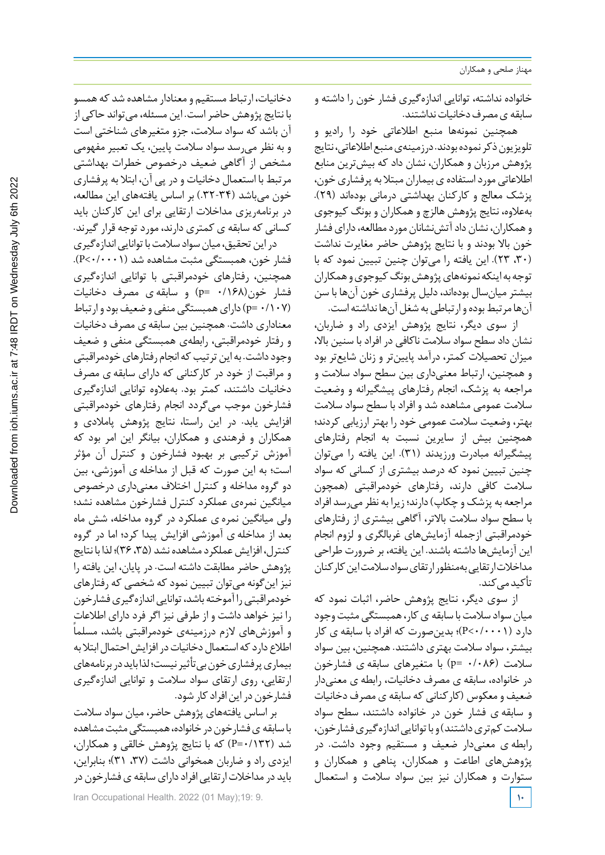خانواده نداشته، توانایی اندازهگیری فشار خون را داشته و سابقه ی مصرف دخانیات نداشتند.

همچنین نمونهها منبع اطالعاتی خود را رادیو و تلویزیون ذکر نموده بودند. درزمینهی منبع اطلاعاتی، نتایج پژوهش مرزبان و همکاران، نشان داد که بیشترین منابع اطلاعاتی مورد استفاده ی بیماران مبتلا به پرفشاری خون، پزشک معالج و کارکنان بهداشتی درمانی بودهاند (29). بهعالوه، نتایج پژوهش هالزچ وهمکاران و بونگ کیوجوی و همکاران، نشان داد آتش نشانان مورد مطالعه، دارای فشار خون بالا بودند و با نتایج پژوهش حاضر مغایرت نداشت (،30 23). این یافته را میتوان چنین تبیین نمود که با توجه به اینکه نمونههای پژوهش بونگ کیوجوی و همکاران بیشتر میانسال بودهاند، دلیل پرفشاری خون آنها با سن آنها مرتبط بوده وارتباطی به شغل آنها نداشته است.

از سوی دیگر، نتایج پژوهش ایزدی راد و ضاربان، نشان داد سطح سواد سالمت ناکافی در افراد با سنین بالا، میزان تحصیالت کمتر، درآمد پایینتر و زنان شایعتر بود و همچنین، ارتباط معنیداری بین سطح سواد سالمت و مراجعه به پزشک، انجام رفتارهای پیشگیرانه و وضعیت سالمت عمومی مشاهده شد و افراد با سطح سواد سالمت بهتر، وضعیت سالمت عمومی خود را بهتر ارزیابی کردند؛ همچنین بیش از سایرین نسبت به انجام رفتارهای پیشگیرانه مبادرت ورزیدند (31). این یافته را میتوان چنین تبیین نمود که درصد بیشتری از کسانی که سواد سالمت کافی دارند، رفتارهای خودمراقبتی (همچون مراجعه به پزشک و چکاپ) دارند؛ زیرا به نظرمیرسد افراد با سطح سواد سالمت بالاتر، آگاهی بیشتری از رفتارهای خودمراقبتی ازجمله آزمایشهای غربالگری و لزوم انجام این آزمایشها داشته باشند. این یافته، بر ضرورت طراحی مداخلات ارتقایی بهمنظور ارتقای سواد سلامت این کارکنان تأکیدمے کند.

از سوی دیگر، نتایج پژوهش حاضر، اثبات نمود که میان سواد سلامت با سابقه ی کار، همبستگی مثبت وجود دارد (0/0001>P(؛ بدینصورت که افراد با سابقه ی کار بیشتر، سواد سالمت بهتری داشتند. همچنین، بین سواد سالمت (0/086 =p (با متغیرهای سابقه ی فشارخون در خانواده، سابقه ی مصرف دخانیات، رابطه ی معنیدار ضعیف و معکوس (کارکنانی که سابقه ی مصرف دخانیات و سابقه ی فشار خون در خانواده داشتند، سطح سواد سلامت کمتری داشتند) و با توانایی اندازه گیری فشارخون، رابطه ی معنیدار ضعیف و مستقیم وجود داشت. در پژوهشهای اطاعت و همکاران، پناهی و همکاران و ستوارت و همکاران نیز بین سواد سالمت و استعمال

دخانیات، ارتباط مستقیم و معنادار مشاهده شد که همسو با نتایج پژوهش حاضراست. این مسئله، میتواند حاکی از آن باشد که سواد سالمت، جزو متغیرهای شناختی است و به نظر میرسد سواد سالمت پایین، یک تعبیر مفهومی مشخص از آگاهی ضعیف درخصوص خطرات بهداشتی مرتبط با استعمال دخانیات ودر پی آن، ابتال به پرفشاری خون میباشد (.32-34) بر اساس یافتههای این مطالعه، در برنامهریزی مداخالت ارتقایی برای این کارکنان باید کسانی که سابقه ی کمتری دارند، موردتوجه قرارگیرند.

در این تحقیق، میان سواد سلامت با توانایی اندازهگیری فشار خون، همبستگی مثبت مشاهده شد (0/0001>P(. همچنین، رفتارهای خودمراقبتی با توانایی اندازهگیری فشار خون(0/168 =p (و سابقه ی مصرف دخانیات (p= ۰/۱۰۷ ودارای همبستگی منفی و ضعیف بود و ارتباط) معناداری داشت. همچنین بین سابقه ی مصرف دخانیات و رفتار خودمراقبتی، رابطهی همبستگی منفی و ضعیف وجود داشت. به این ترتیب که انجام رفتارهای خودمراقبتی و مراقبت از خود در کارکنانی که دارای سابقه ی مصرف دخانیات داشتند، کمتر بود. بهعالوه توانایی اندازهگیری فشارخون موجب میگردد انجام رفتارهای خودمراقبتی افزایش یابد. در این راستا، نتایج پژوهش پامالدی و همکاران و فرهندی و همکاران، بیانگر این امر بود که آموزش ترکیبی بر بهبود فشارخون و کنترل آن مؤثر است؛ به این صورت که قبل از مداخله ی آموزشی، بین دو گروه مداخله و کنترل اختالف معنیداری درخصوص میانگین نمرهی عملکرد کنترل فشارخون مشاهده نشد؛ ولی میانگین نمره ی عملکرد در گروه مداخله، شش ماه بعد از مداخله ی آموزشی افزایش پیدا کرد؛ اما در گروه کنترل، افزایش عملکرد مشاهده نشد (۳۵، ۳۶)؛ لذا با نتایج پژوهش حاضر مطابقت داشته است. در پایان، این یافته را نیز اینگونه میتوان تبیین نمود که شخصی که رفتارهای خودمراقبتی را آموخته باشد، توانایی اندازهگیری فشارخون را نیز خواهد داشت و از طرفی نیز اگر فرد دارای اطالعات ً و آموزشهای لازم درزمینهی خودمراقبتی باشد، مسلما اطلاع دارد که استعمال دخانیات در افزایش احتمال ابتلابه بیماریپرفشاریخونبیتأثیرنیست؛لذا بایددربرنامههای ارتقایی، روی ارتقای سواد سالمت و توانایی اندازهگیری فشارخون در این افراد کار شود.

بر اساس یافتههای پژوهش حاضر، میان سواد سالمت با سابقه ی فشارخون در خانواده، همبستگی مثبت مشاهده شد (0/132=P (که با نتایج پژوهش خالقی و همکاران، ایزدی راد و ضاربان همخوانی داشت (۳۷، ۳۱)؛ بنابراین، باید در مداخلات ارتقایی افراد دارای سابقه ی فشارخون در

Iran Occupational Health. 2022 (01 May);19: 9. **10**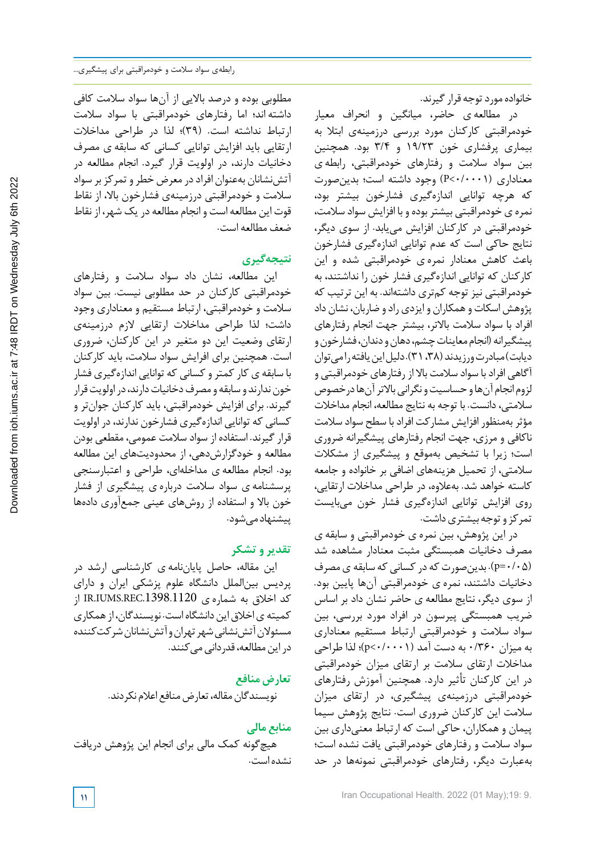خانواده مورد توجه قرار گیرند.

در مطالعه ی حاضر، میانگین و انحراف معیار خودمراقبتی کارکنان مورد بررسی درزمینهی ابتال به بیماری پرفشاری خون 19/23 و 3/4 بود. همچنین بین سواد سالمت و رفتارهای خودمراقبتی، رابطه ی معناداری (0/0001>P (وجود داشته است؛ بدینصورت که هرچه توانایی اندازهگیری فشارخون بیشتر بود، نمره ی خودمراقبتی بیشتربوده و با افزایش سواد سالمت، خودمراقبتی در کارکنان افزایش مییابد. از سوی دیگر، نتایج حاکی است که عدم توانایی اندازهگیری فشارخون باعث کاهش معنادار نمره ی خودمراقبتی شده و این کارکنان که توانایی اندازهگیری فشار خون را نداشتند، به خودمراقبتی نیز توجه کمتری داشتهاند. به این ترتیب که پژوهش اسکات و همکاران و ایزدی راد و ضاربان، نشان داد افراد با سواد سالمت بالاتر، بیشتر جهت انجام رفتارهای پیشگیرانه (انجام معاینات چشم، دهان و دندان، فشار خون و دیابت) مبادرت ورزیدند (٣٨، ٣١). دلیل این یافته رامی توان آگاهی افرادبا سواد سالمت بالا از رفتارهای خودمراقبتی و لزوم انجام آن ها و حساسیت و نگرانی بالاتر آن ها در خصوص سالمتی،دانست. با توجه به نتایج مطالعه، انجام مداخالت مؤثربهمنظور افزایش مشارکت افرادبا سطح سواد سالمت ناکافی و مرزی، جهت انجام رفتارهای پیشگیرانه ضروری است؛ زیرا با تشخیص بهموقع و پیشگیری از مشکالت سالمتی، از تحمیل هزینههای اضافی بر خانواده و جامعه کاسته خواهد شد. بهعالوه، در طراحی مداخالت ارتقایی، روی افزایش توانایی اندازهگیری فشار خون میبایست تمرکز و توجه بیشتری داشت.

در این پژوهش، بین نمره ی خودمراقبتی و سابقه ی مصرف دخانیات همبستگی مثبت معنادار مشاهده شد (0/05=p(. بدینصورتکه درکسانیکه سابقه یمصرف دخانیات داشتند، نمره ی خودمراقبتی آنها پایین بود. از سوی دیگر، نتایج مطالعه ی حاضر نشان داد بر اساس ضریب همبستگی پیرسون در افراد مورد بررسی، بین سواد سالمت و خودمراقبتی ارتباط مستقیم معناداری به میزان 0/360 به دست آمد (0/0001>p(؛ لذا طراحی مداخالت ارتقای سالمت بر ارتقای میزان خودمراقبتی در این کارکنان تأثیر دارد. همچنین آموزش رفتارهای خودمراقبتی درزمینهی پیشگیری، در ارتقای میزان سالمت این کارکنان ضروری است. نتایج پژوهش سیما پیمان و همکاران، حاکی است که ارتباط معنیداری بین سواد سالمت و رفتارهای خودمراقبتی یافت نشده است؛ بهعبارت دیگر، رفتارهای خودمراقبتی نمونهها در حد

مطلوبی بوده و درصد بالایی از آنها سواد سالمت کافی داشته اند؛ اما رفتارهای خودمراقبتی با سواد سالمت ارتباط نداشته است. (39)؛ لذا در طراحی مداخالت ارتقایی باید افزایش توانایی کسانی که سابقه ی مصرف دخانیات دارند، در اولویت قرار گیرد. انجام مطالعه در آتش نشانان بهعنوان افراد در معرض خطر و تمرکز بر سواد سالمت و خودمراقبتی درزمینهی فشارخون بالا، از نقاط قوت این مطالعه است و انجام مطالعه در یک شهر، از نقاط ضعف مطالعه است.

## **نتیجهگیری**

این مطالعه، نشان داد سواد سالمت و رفتارهای خودمراقبتی کارکنان در حد مطلوبی نیست. بین سواد سالمت و خودمراقبتی، ارتباط مستقیم و معناداری وجود داشت؛ لذا طراحی مداخالت ارتقایی لازم درزمینهی ارتقای وضعیت این دو متغیر در این کارکنان، ضروری است. همچنین برای افرایش سواد سالمت، باید کارکنان با سابقه ی کار کمتر و کسانی که توانایی اندازهگیری فشار خون ندارند و سابقه و مصرف دخانیات دارند، در اولویت قرار گیرند. برای افزایش خودمراقبتی، باید کارکنان جوانتر و کسانی که توانایی اندازهگیری فشارخون ندارند،در اولویت قرارگیرند. استفاده از سواد سالمت عمومی، مقطعی بودن مطالعه و خودگزارشدهی، از محدودیتهای این مطالعه بود. انجام مطالعه ی مداخلهای، طراحی و اعتبارسنجی پرسشنامه ی سواد سالمت درباره ی پیشگیری از فشار خون بالا و استفاده از روشهای عینی جمعآوری دادهها ییشنهاد می شود.

## **تقدیر و تشکر**

این مقاله، حاصل پایاننامه ی کارشناسی ارشد در پردیس بینالملل دانشگاه علوم پزشکی ایران و دارای کد اخلاق به شماره ی IR.IUMS.REC.1398.1120 از کمیته یاخالقایندانشگاهاست. نویسندگان، ازهمکاری مسئولان آتش نشانی شهر تهران و آتش نشانان شرکت کننده در این مطالعه، قدر دانی می کنند.

**تعارض منافع**

نویسندگان مقاله، تعارض منافع اعلام نکردند.

## **منابع مالی**

هیچگونه کمک مالی برای انجام این پژوهش دریافت نشده است.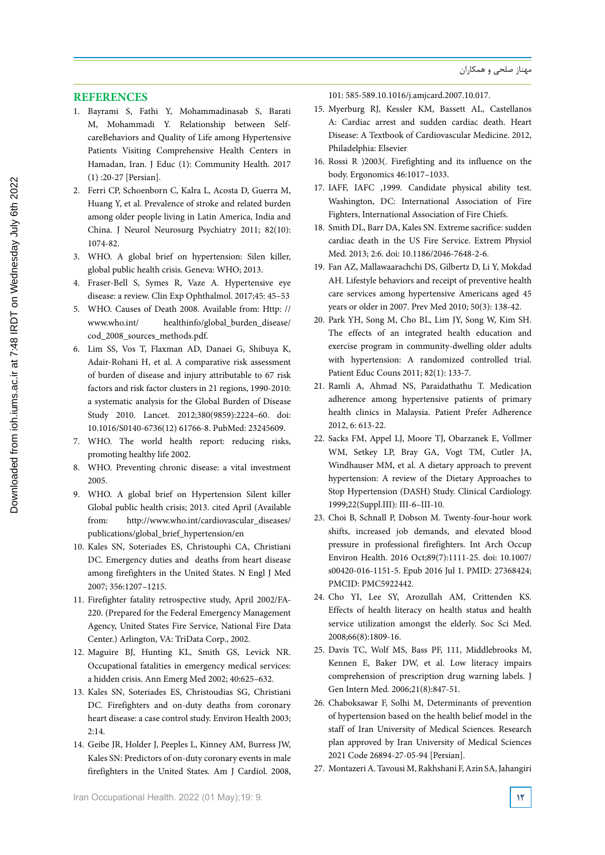## **REFERENCES**

- 1. Bayrami S, Fathi Y, Mohammadinasab S, Barati M, Mohammadi Y. Relationship between SelfcareBehaviors and Quality of Life among Hypertensive Patients Visiting Comprehensive Health Centers in Hamadan, Iran. J Educ (1): Community Health. 2017 (1) :20-27 [Persian].
- 2. Ferri CP, Schoenborn C, Kalra L, Acosta D, Guerra M, Huang Y, et al. Prevalence of stroke and related burden among older people living in Latin America, India and China. J Neurol Neurosurg Psychiatry 2011; 82(10): 1074-82.
- 3. WHO. A global brief on hypertension: Silen killer, global public health crisis. Geneva: WHO; 2013.
- 4. Fraser-Bell S, Symes R, Vaze A. Hypertensive eye disease: a review. Clin Exp Ophthalmol. 2017;45: 45–53
- 5. WHO. Causes of Death 2008. Available from: Http: // www.who.int/ healthinfo/global\_burden\_disease/ cod\_2008\_sources\_methods.pdf.
- 6. Lim SS, Vos T, Flaxman AD, Danaei G, Shibuya K, Adair-Rohani H, et al. A comparative risk assessment of burden of disease and injury attributable to 67 risk factors and risk factor clusters in 21 regions, 1990-2010: a systematic analysis for the Global Burden of Disease Study 2010. Lancet. 2012;380(9859):2224–60. doi: 10.1016/S0140-6736(12) 61766-8. PubMed: 23245609.
- 7. WHO. The world health report: reducing risks, promoting healthy life 2002.
- 8. WHO. Preventing chronic disease: a vital investment 2005.
- 9. WHO. A global brief on Hypertension Silent killer Global public health crisis; 2013. cited April (Available from: http://www.who.int/cardiovascular\_diseases/ publications/global\_brief\_hypertension/en
- 10. Kales SN, Soteriades ES, Christouphi CA, Christiani DC. Emergency duties and deaths from heart disease among firefighters in the United States. N Engl J Med 2007; 356:1207–1215.
- 11. Firefighter fatality retrospective study, April 2002/FA-220. (Prepared for the Federal Emergency Management Agency, United States Fire Service, National Fire Data Center.) Arlington, VA: TriData Corp., 2002.
- 12. Maguire BJ, Hunting KL, Smith GS, Levick NR. Occupational fatalities in emergency medical services: a hidden crisis. Ann Emerg Med 2002; 40:625–632.
- 13. Kales SN, Soteriades ES, Christoudias SG, Christiani DC. Firefighters and on-duty deaths from coronary heart disease: a case control study. Environ Health 2003; 2:14.
- 14. Geibe JR, Holder J, Peeples L, Kinney AM, Burress JW, Kales SN: Predictors of on-duty coronary events in male firefighters in the United States. Am J Cardiol. 2008,

101: 585-589.10.1016/j.amjcard.2007.10.017.

- 15. Myerburg RJ, Kessler KM, Bassett AL, Castellanos A: Cardiac arrest and sudden cardiac death. Heart Disease: A Textbook of Cardiovascular Medicine. 2012, Philadelphia: Elsevier
- 16. Rossi R )2003(. Firefighting and its influence on the body. Ergonomics 46:1017–1033.
- 17. IAFF, IAFC ,1999. Candidate physical ability test. Washington, DC: International Association of Fire Fighters, International Association of Fire Chiefs.
- 18. Smith DL, Barr DA, Kales SN. Extreme sacrifice: sudden cardiac death in the US Fire Service. Extrem Physiol Med. 2013; 2:6. doi: 10.1186/2046-7648-2-6.
- 19. Fan AZ, Mallawaarachchi DS, Gilbertz D, Li Y, Mokdad AH. Lifestyle behaviors and receipt of preventive health care services among hypertensive Americans aged 45 years or older in 2007. Prev Med 2010; 50(3): 138-42.
- 20. Park YH, Song M, Cho BL, Lim JY, Song W, Kim SH. The effects of an integrated health education and exercise program in community-dwelling older adults with hypertension: A randomized controlled trial. Patient Educ Couns 2011; 82(1): 133-7.
- 21. Ramli A, Ahmad NS, Paraidathathu T. Medication adherence among hypertensive patients of primary health clinics in Malaysia. Patient Prefer Adherence 2012, 6: 613-22.
- 22. Sacks FM, Appel LJ, Moore TJ, Obarzanek E, Vollmer WM, Setkey LP, Bray GA, Vogt TM, Cutler JA, Windhauser MM, et al. A dietary approach to prevent hypertension: A review of the Dietary Approaches to Stop Hypertension (DASH) Study. Clinical Cardiology. 1999;22(Suppl.III): III-6–III-10.
- 23. Choi B, Schnall P, Dobson M. Twenty-four-hour work shifts, increased job demands, and elevated blood pressure in professional firefighters. Int Arch Occup Environ Health. 2016 Oct;89(7):1111-25. doi: 10.1007/ s00420-016-1151-5. Epub 2016 Jul 1. PMID: 27368424; PMCID: PMC5922442.
- 24. Cho YI, Lee SY, Arozullah AM, Crittenden KS. Effects of health literacy on health status and health service utilization amongst the elderly. Soc Sci Med. 2008;66(8):1809-16.
- 25. Davis TC, Wolf MS, Bass PF, 111, Middlebrooks M, Kennen E, Baker DW, et al. Low literacy impairs comprehension of prescription drug warning labels. J Gen Intern Med. 2006;21(8):847-51.
- 26. Chaboksawar F, Solhi M, Determinants of prevention of hypertension based on the health belief model in the staff of Iran University of Medical Sciences. Research plan approved by Iran University of Medical Sciences 2021 Code 26894-27-05-94 [Persian].
- 27. Montazeri A. Tavousi M, Rakhshani F, Azin SA, Jahangiri